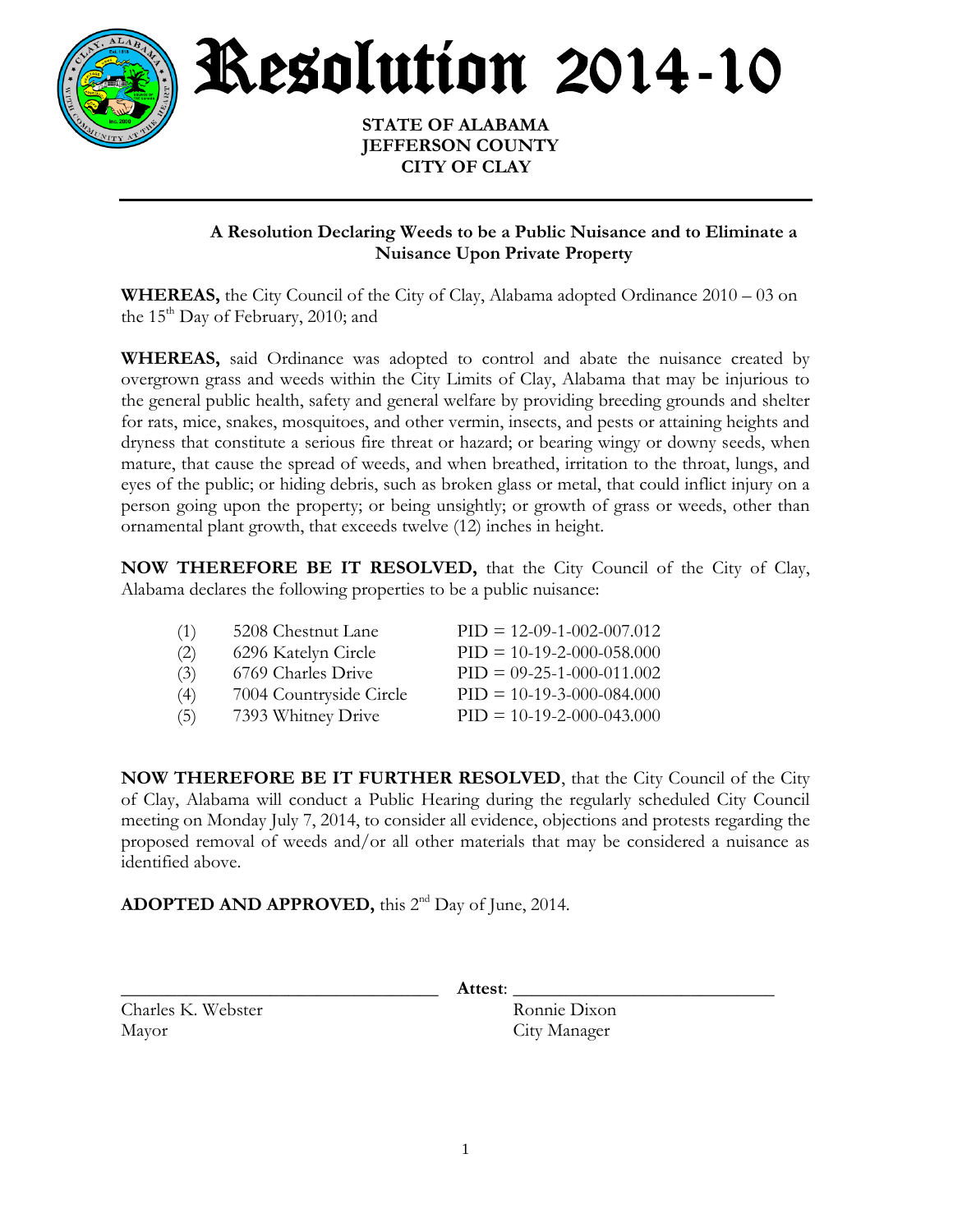

Resolution 2014-10

 **STATE OF ALABAMA JEFFERSON COUNTY CITY OF CLAY**

## **A Resolution Declaring Weeds to be a Public Nuisance and to Eliminate a Nuisance Upon Private Property**

**WHEREAS,** the City Council of the City of Clay, Alabama adopted Ordinance 2010 – 03 on the  $15<sup>th</sup>$  Day of February, 2010; and

**WHEREAS,** said Ordinance was adopted to control and abate the nuisance created by overgrown grass and weeds within the City Limits of Clay, Alabama that may be injurious to the general public health, safety and general welfare by providing breeding grounds and shelter for rats, mice, snakes, mosquitoes, and other vermin, insects, and pests or attaining heights and dryness that constitute a serious fire threat or hazard; or bearing wingy or downy seeds, when mature, that cause the spread of weeds, and when breathed, irritation to the throat, lungs, and eyes of the public; or hiding debris, such as broken glass or metal, that could inflict injury on a person going upon the property; or being unsightly; or growth of grass or weeds, other than ornamental plant growth, that exceeds twelve (12) inches in height.

**NOW THEREFORE BE IT RESOLVED,** that the City Council of the City of Clay, Alabama declares the following properties to be a public nuisance:

| (1) | 5208 Chestnut Lane      | $PID = 12-09-1-002-007.012$ |
|-----|-------------------------|-----------------------------|
| (2) | 6296 Katelyn Circle     | $PID = 10-19-2-000-058.000$ |
| (3) | 6769 Charles Drive      | $PID = 09-25-1-000-011.002$ |
| (4) | 7004 Countryside Circle | $PID = 10-19-3-000-084.000$ |
| (5) | 7393 Whitney Drive      | $PID = 10-19-2-000-043.000$ |

**NOW THEREFORE BE IT FURTHER RESOLVED**, that the City Council of the City of Clay, Alabama will conduct a Public Hearing during the regularly scheduled City Council meeting on Monday July 7, 2014, to consider all evidence, objections and protests regarding the proposed removal of weeds and/or all other materials that may be considered a nuisance as identified above.

**ADOPTED AND APPROVED,** this 2<sup>nd</sup> Day of June, 2014.

Charles K. Webster Ronnie Dixon Mayor City Manager

\_\_\_\_\_\_\_\_\_\_\_\_\_\_\_\_\_\_\_\_\_\_\_\_\_\_\_\_\_\_\_\_\_\_ **Attest**: \_\_\_\_\_\_\_\_\_\_\_\_\_\_\_\_\_\_\_\_\_\_\_\_\_\_\_\_